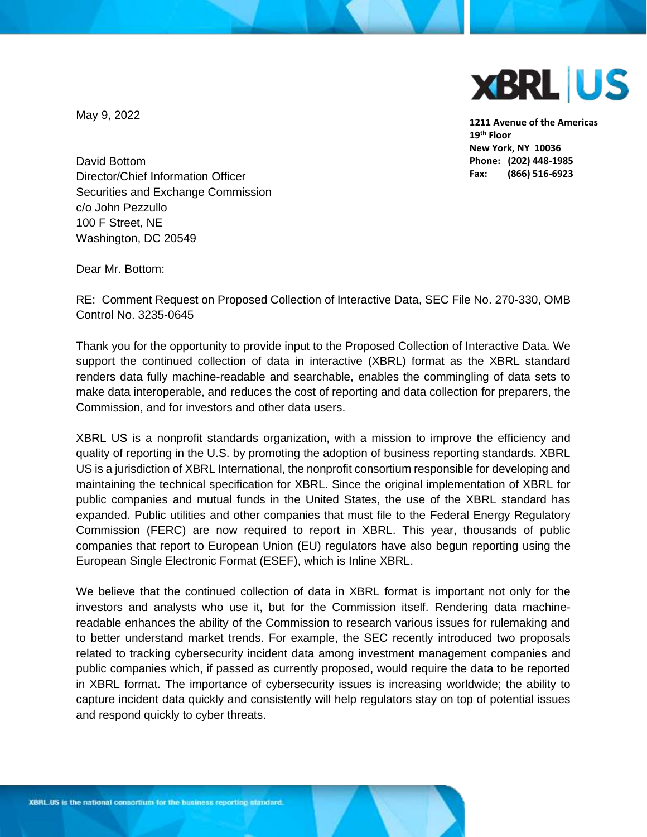

**1211 Avenue of the Americas 19th Floor New York, NY 10036 Phone: (202) 448-1985 Fax: (866) 516-6923**

May 9, 2022

David Bottom Director/Chief Information Officer Securities and Exchange Commission c/o John Pezzullo 100 F Street, NE Washington, DC 20549

Dear Mr. Bottom:

RE: Comment Request on Proposed Collection of Interactive Data, SEC File No. 270-330, OMB Control No. 3235-0645

Thank you for the opportunity to provide input to the Proposed Collection of Interactive Data. We support the continued collection of data in interactive (XBRL) format as the XBRL standard renders data fully machine-readable and searchable, enables the commingling of data sets to make data interoperable, and reduces the cost of reporting and data collection for preparers, the Commission, and for investors and other data users.

XBRL US is a nonprofit standards organization, with a mission to improve the efficiency and quality of reporting in the U.S. by promoting the adoption of business reporting standards. XBRL US is a jurisdiction of XBRL International, the nonprofit consortium responsible for developing and maintaining the technical specification for XBRL. Since the original implementation of XBRL for public companies and mutual funds in the United States, the use of the XBRL standard has expanded. Public utilities and other companies that must file to the Federal Energy Regulatory Commission (FERC) are now required to report in XBRL. This year, thousands of public companies that report to European Union (EU) regulators have also begun reporting using the European Single Electronic Format (ESEF), which is Inline XBRL.

We believe that the continued collection of data in XBRL format is important not only for the investors and analysts who use it, but for the Commission itself. Rendering data machinereadable enhances the ability of the Commission to research various issues for rulemaking and to better understand market trends. For example, the SEC recently introduced two proposals related to tracking cybersecurity incident data among investment management companies and public companies which, if passed as currently proposed, would require the data to be reported in XBRL format. The importance of cybersecurity issues is increasing worldwide; the ability to capture incident data quickly and consistently will help regulators stay on top of potential issues and respond quickly to cyber threats.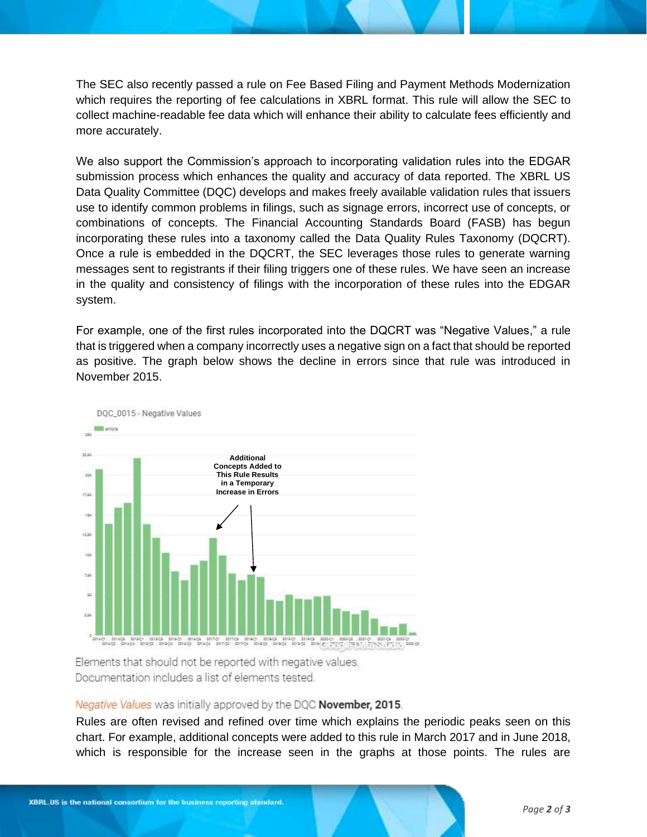The SEC also recently passed a rule on Fee Based Filing and Payment Methods Modernization which requires the reporting of fee calculations in XBRL format. This rule will allow the SEC to collect machine-readable fee data which will enhance their ability to calculate fees efficiently and more accurately.

We also support the Commission's approach to incorporating validation rules into the EDGAR submission process which enhances the quality and accuracy of data reported. The XBRL US Data Quality Committee (DQC) develops and makes freely available validation rules that issuers use to identify common problems in filings, such as signage errors, incorrect use of concepts, or combinations of concepts. The Financial Accounting Standards Board (FASB) has begun incorporating these rules into a taxonomy called the Data Quality Rules Taxonomy (DQCRT). Once a rule is embedded in the DQCRT, the SEC leverages those rules to generate warning messages sent to registrants if their filing triggers one of these rules. We have seen an increase in the quality and consistency of filings with the incorporation of these rules into the EDGAR system.

For example, one of the first rules incorporated into the DQCRT was "Negative Values," a rule that is triggered when a company incorrectly uses a negative sign on a fact that should be reported as positive. The graph below shows the decline in errors since that rule was introduced in November 2015.



Elements that should not be reported with negative values. Documentation includes a list of elements tested.

## Negative Values was initially approved by the DQC November, 2015.

Rules are often revised and refined over time which explains the periodic peaks seen on this chart. For example, additional concepts were added to this rule in March 2017 and in June 2018, which is responsible for the increase seen in the graphs at those points. The rules are